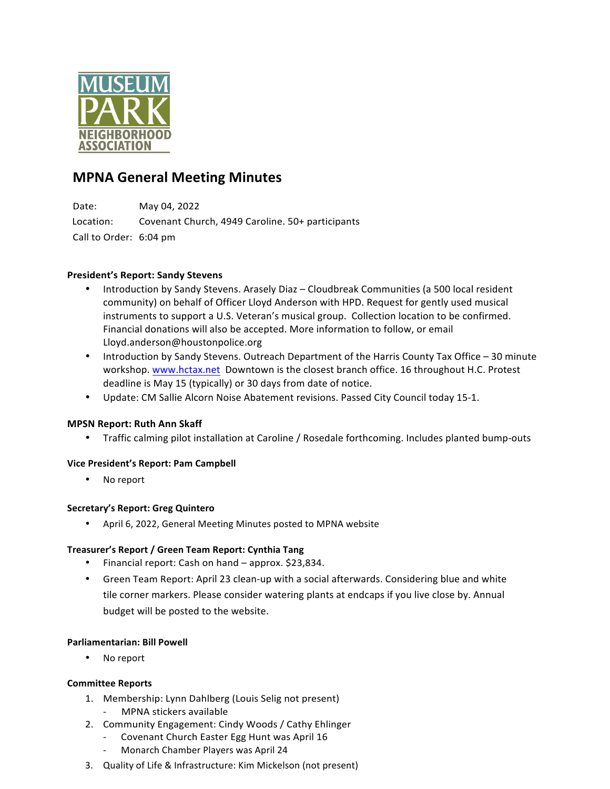

# **MPNA General Meeting Minutes**

Date: May 04, 2022 Location: Covenant Church, 4949 Caroline. 50+ participants Call to Order: 6:04 pm

## **President's Report: Sandy Stevens**

- Introduction by Sandy Stevens. Arasely Diaz Cloudbreak Communities (a 500 local resident community) on behalf of Officer Lloyd Anderson with HPD. Request for gently used musical instruments to support a U.S. Veteran's musical group. Collection location to be confirmed. Financial donations will also be accepted. More information to follow, or email Lloyd.anderson@houstonpolice.org
- Introduction by Sandy Stevens. Outreach Department of the Harris County Tax Office 30 minute workshop. www.hctax.net Downtown is the closest branch office. 16 throughout H.C. Protest deadline is May 15 (typically) or 30 days from date of notice.
- Update: CM Sallie Alcorn Noise Abatement revisions. Passed City Council today 15-1.

## **MPSN Report: Ruth Ann Skaff**

• Traffic calming pilot installation at Caroline / Rosedale forthcoming. Includes planted bump-outs

## **Vice President's Report: Pam Campbell**

• No report

## **Secretary's Report: Greg Quintero**

• April 6, 2022, General Meeting Minutes posted to MPNA website

## **Treasurer's Report / Green Team Report: Cynthia Tang**

- Financial report: Cash on hand approx. \$23,834.
- Green Team Report: April 23 clean-up with a social afterwards. Considering blue and white tile corner markers. Please consider watering plants at endcaps if you live close by. Annual budget will be posted to the website.

#### **Parliamentarian: Bill Powell**

No report

#### **Committee Reports**

- 1. Membership: Lynn Dahlberg (Louis Selig not present)
	- MPNA stickers available
- 2. Community Engagement: Cindy Woods / Cathy Ehlinger
	- Covenant Church Easter Egg Hunt was April 16
	- Monarch Chamber Players was April 24
- 3. Quality of Life & Infrastructure: Kim Mickelson (not present)